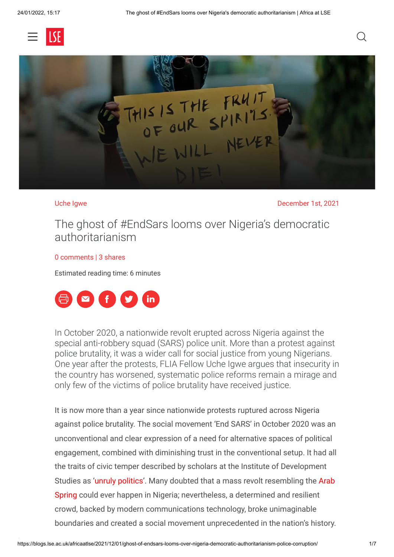



Uche Igwe December 1st, 2021

The ghost of #EndSars looms over Nigeria's democratic authoritarianism

#### [0 comments](#page-4-0) | 3 shares

Estimated reading time: 6 minutes



In October 2020, a nationwide revolt erupted across Nigeria against the special anti-robbery squad (SARS) police unit. More than a protest against police brutality, it was a wider call for social justice from young Nigerians. One year after the protests, FLIA Fellow Uche Igwe argues that insecurity in the country has worsened, systematic police reforms remain a mirage and only few of the victims of police brutality have received justice.

It is now more than a year since nationwide protests ruptured across Nigeria against police brutality. The social movement 'End SARS' in October 2020 was an unconventional and clear expression of a need for alternative spaces of political engagement, combined with diminishing trust in the conventional setup. It had all the traits of civic temper described by scholars at the Institute of Development [Studies as '](https://www.aljazeera.com/news/2020/12/17/what-is-the-arab-spring-and-how-did-it-start)[unruly politic](https://www.unrisd.org/unrisd/website/newsview.nsf/(httpNews)/6CACEA99340950AAC125795D00581C33?OpenDocument)[s'. Many doubted that a mass revolt resembling the Arab](https://www.aljazeera.com/news/2020/12/17/what-is-the-arab-spring-and-how-did-it-start) Spring could ever happen in Nigeria; nevertheless, a determined and resilient crowd, backed by modern communications technology, broke unimaginable boundaries and created a social movement unprecedented in the nation's history.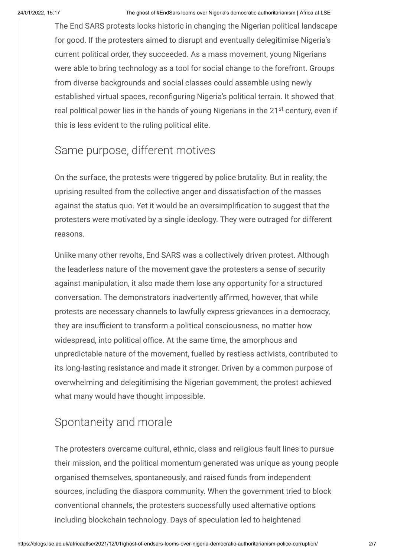The End SARS protests looks historic in changing the Nigerian political landscape for good. If the protesters aimed to disrupt and eventually delegitimise Nigeria's current political order, they succeeded. As a mass movement, young Nigerians were able to bring technology as a tool for social change to the forefront. Groups from diverse backgrounds and social classes could assemble using newly established virtual spaces, reconfiguring Nigeria's political terrain. It showed that real political power lies in the hands of young Nigerians in the 21<sup>st</sup> century, even if this is less evident to the ruling political elite.

# Same purpose, different motives

On the surface, the protests were triggered by police brutality. But in reality, the uprising resulted from the collective anger and dissatisfaction of the masses against the status quo. Yet it would be an oversimplification to suggest that the protesters were motivated by a single ideology. They were outraged for different reasons.

Unlike many other revolts, End SARS was a collectively driven protest. Although the leaderless nature of the movement gave the protesters a sense of security against manipulation, it also made them lose any opportunity for a structured conversation. The demonstrators inadvertently affirmed, however, that while protests are necessary channels to lawfully express grievances in a democracy, they are insufficient to transform a political consciousness, no matter how widespread, into political office. At the same time, the amorphous and unpredictable nature of the movement, fuelled by restless activists, contributed to its long-lasting resistance and made it stronger. Driven by a common purpose of overwhelming and delegitimising the Nigerian government, the protest achieved what many would have thought impossible.

# Spontaneity and morale

The protesters overcame cultural, ethnic, class and religious fault lines to pursue their mission, and the political momentum generated was unique as young people organised themselves, spontaneously, and raised funds from independent sources, including the diaspora community. When the government tried to block conventional channels, the protesters successfully used alternative options including blockchain technology. Days of speculation led to heightened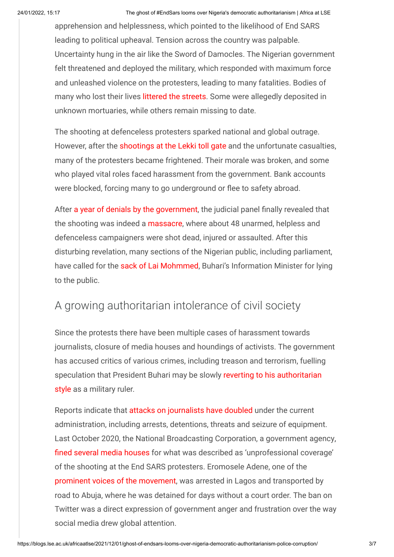apprehension and helplessness, which pointed to the likelihood of End SARS leading to political upheaval. Tension across the country was palpable. Uncertainty hung in the air like the Sword of Damocles. The Nigerian government felt threatened and deployed the military, which responded with maximum force and unleashed violence on the protesters, leading to many fatalities. Bodies of many who lost their lives [littered the streets.](https://dailypost.ng/2020/10/21/end-sars-dead-bodies-litter-streets-in-lagos/) Some were allegedly deposited in unknown mortuaries, while others remain missing to date.

The shooting at defenceless protesters sparked national and global outrage. However, after the [shootings at the Lekki toll gate](https://www.premiumtimesng.com/news/headlines/455840-lekki-tollgate-shooting-at-least-10-people-killed-witness.html) and the unfortunate casualties, many of the protesters became frightened. Their morale was broken, and some who played vital roles faced harassment from the government. Bank accounts were blocked, forcing many to go underground or flee to safety abroad.

After [a year of denials by the government](https://www.thecable.ng/rewind-five-times-lai-said-nobody-was-killed-at-lekki-tollgate), the judicial panel finally revealed that the shooting was indeed a [massacre,](https://www.vanguardngr.com/2021/11/lekki-tollgate-incident-was-a-massacre-lagos-endsars-panel/) where about 48 unarmed, helpless and defenceless campaigners were shot dead, injured or assaulted. After this disturbing revelation, many sections of the Nigerian public, including parliament, have called for the [sack of Lai Mohmmed](https://punchng.com/endsars-report-buhari-should-sack-lai-mohammed-reps-minority-caucus/), Buhari's Information Minister for lying to the public.

### A growing authoritarian intolerance of civil society

Since the protests there have been multiple cases of harassment towards journalists, closure of media houses and houndings of activists. The government has accused critics of various crimes, including treason and terrorism, fuelling [speculation that President Buhari may be slowly reverting to his authoritarian](https://www.cfr.org/in-brief/nigerias-slide-toward-authoritarianism) style as a military ruler.

Reports indicate that [attacks on journalists have doubled](https://www.article19.org/resources/nigeria-crackdown-on-journalists/) under the current administration, including arrests, detentions, threats and seizure of equipment. [Last October 2020, the National Broadcasting Corporation, a government agency,](https://www.thecable.ng/breaking-nbc-fines-arise-tv-channels-ait-for-unprofessional-endsars-protests-reportage) fined several media houses for what was described as 'unprofessional coverage' of the shooting at the End SARS protesters. Eromosele Adene, one of the [prominent voices of the movement,](https://www.premiumtimesng.com/news/headlines/425447-police-detain-endsars-activist-eromosele-adene-for-days-without-charge-lawyer.html) was arrested in Lagos and transported by road to Abuja, where he was detained for days without a court order. The ban on Twitter was a direct expression of government anger and frustration over the way social media drew global attention.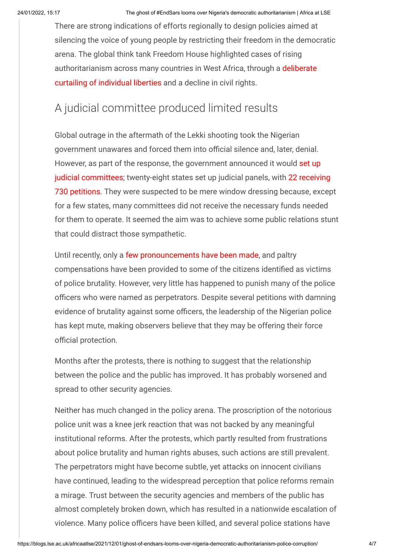There are strong indications of efforts regionally to design policies aimed at silencing the voice of young people by restricting their freedom in the democratic arena. The global think tank Freedom House highlighted cases of rising [authoritarianism across many countries in West Africa, through a deliberate](https://freedomhouse.org/article/west-africas-democratic-progress-slipping-away-even-regions-significance-grows-0) curtailing of individual liberties and a decline in civil rights.

#### A judicial committee produced limited results

Global outrage in the aftermath of the Lekki shooting took the Nigerian government unawares and forced them into official silence and, later, denial. [However, as part of the response, the government announced it would set up](https://cleen.org/details-of-endsars-state-judicial-panels-of-inquiry-in-nigeria/) [judicial committees; twenty-eight states set up judicial panels, with 22 receiving](https://www.dataphyte.com/latest-reports/endsars/endsars-730-petitions-and-counting-over-police-brutality/) 730 petitions. They were suspected to be mere window dressing because, except for a few states, many committees did not receive the necessary funds needed for them to operate. It seemed the aim was to achieve some public relations stunt that could distract those sympathetic.

Until recently, only a [few pronouncements have been made](https://guardian.ng/saturday-magazine/endsars-judicial-panels-different-strokes-in-states-as-fg-pledges-to-implement-reports/), and paltry compensations have been provided to some of the citizens identified as victims of police brutality. However, very little has happened to punish many of the police officers who were named as perpetrators. Despite several petitions with damning evidence of brutality against some officers, the leadership of the Nigerian police has kept mute, making observers believe that they may be offering their force official protection.

Months after the protests, there is nothing to suggest that the relationship between the police and the public has improved. It has probably worsened and spread to other security agencies.

Neither has much changed in the policy arena. The proscription of the notorious police unit was a knee jerk reaction that was not backed by any meaningful institutional reforms. After the protests, which partly resulted from frustrations about police brutality and human rights abuses, such actions are still prevalent. The perpetrators might have become subtle, yet attacks on innocent civilians have continued, leading to the widespread perception that police reforms remain a mirage. Trust between the security agencies and members of the public has almost completely broken down, which has resulted in a nationwide escalation of violence. Many police officers have been killed, and several police stations have